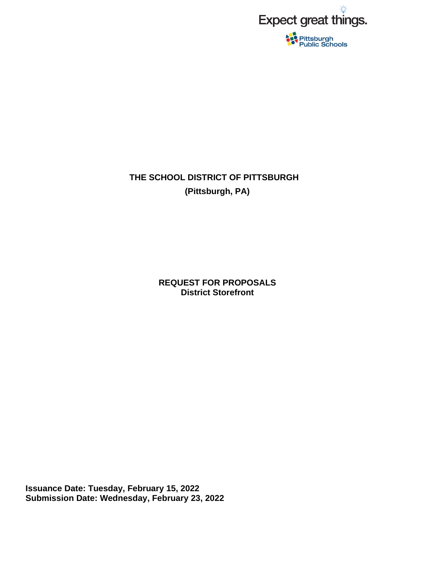

# **THE SCHOOL DISTRICT OF PITTSBURGH (Pittsburgh, PA)**

**REQUEST FOR PROPOSALS District Storefront** 

**Issuance Date: Tuesday, February 15, 2022 Submission Date: Wednesday, February 23, 2022**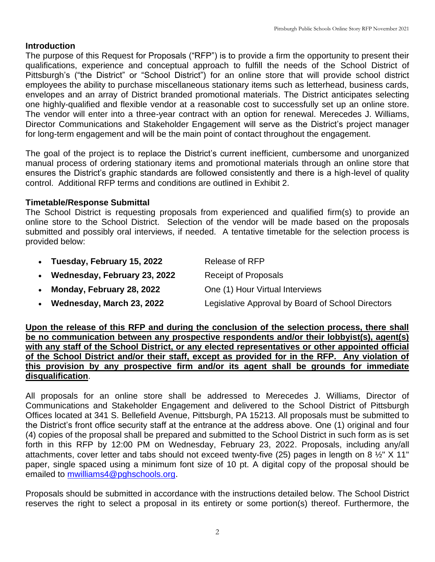# **Introduction**

The purpose of this Request for Proposals ("RFP") is to provide a firm the opportunity to present their qualifications, experience and conceptual approach to fulfill the needs of the School District of Pittsburgh's ("the District" or "School District") for an online store that will provide school district employees the ability to purchase miscellaneous stationary items such as letterhead, business cards, envelopes and an array of District branded promotional materials. The District anticipates selecting one highly-qualified and flexible vendor at a reasonable cost to successfully set up an online store. The vendor will enter into a three-year contract with an option for renewal. Merecedes J. Williams, Director Communications and Stakeholder Engagement will serve as the District's project manager for long-term engagement and will be the main point of contact throughout the engagement.

The goal of the project is to replace the District's current inefficient, cumbersome and unorganized manual process of ordering stationary items and promotional materials through an online store that ensures the District's graphic standards are followed consistently and there is a high-level of quality control. Additional RFP terms and conditions are outlined in Exhibit 2.

# **Timetable/Response Submittal**

The School District is requesting proposals from experienced and qualified firm(s) to provide an online store to the School District. Selection of the vendor will be made based on the proposals submitted and possibly oral interviews, if needed. A tentative timetable for the selection process is provided below:

| Tuesday, February 15, 2022 | Release of RFP |
|----------------------------|----------------|
|                            |                |

- Wednesday, February 23, 2022 Receipt of Proposals
- **Monday, February 28, 2022** One (1) Hour Virtual Interviews
- **Wednesday, March 23, 2022** Legislative Approval by Board of School Directors

**Upon the release of this RFP and during the conclusion of the selection process, there shall be no communication between any prospective respondents and/or their lobbyist(s), agent(s) with any staff of the School District, or any elected representatives or other appointed official of the School District and/or their staff, except as provided for in the RFP. Any violation of this provision by any prospective firm and/or its agent shall be grounds for immediate disqualification**.

All proposals for an online store shall be addressed to Merecedes J. Williams, Director of Communications and Stakeholder Engagement and delivered to the School District of Pittsburgh Offices located at 341 S. Bellefield Avenue, Pittsburgh, PA 15213. All proposals must be submitted to the District's front office security staff at the entrance at the address above. One (1) original and four (4) copies of the proposal shall be prepared and submitted to the School District in such form as is set forth in this RFP by 12:00 PM on Wednesday, February 23, 2022. Proposals, including any/all attachments, cover letter and tabs should not exceed twenty-five (25) pages in length on 8 ½" X 11" paper, single spaced using a minimum font size of 10 pt. A digital copy of the proposal should be emailed to [mwilliams4@pghschools.org.](mailto:mwilliams4@pghschools.org)

Proposals should be submitted in accordance with the instructions detailed below. The School District reserves the right to select a proposal in its entirety or some portion(s) thereof. Furthermore, the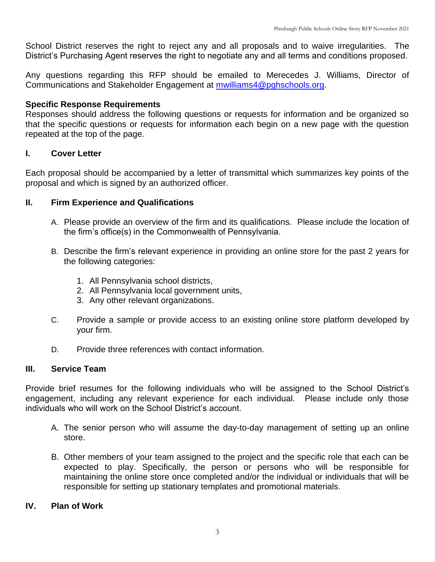School District reserves the right to reject any and all proposals and to waive irregularities. The District's Purchasing Agent reserves the right to negotiate any and all terms and conditions proposed.

Any questions regarding this RFP should be emailed to Merecedes J. Williams, Director of Communications and Stakeholder Engagement at **mwilliams4@pghschools.org**.

# **Specific Response Requirements**

Responses should address the following questions or requests for information and be organized so that the specific questions or requests for information each begin on a new page with the question repeated at the top of the page.

# **I. Cover Letter**

Each proposal should be accompanied by a letter of transmittal which summarizes key points of the proposal and which is signed by an authorized officer.

# **II. Firm Experience and Qualifications**

- A. Please provide an overview of the firm and its qualifications. Please include the location of the firm's office(s) in the Commonwealth of Pennsylvania.
- B. Describe the firm's relevant experience in providing an online store for the past 2 years for the following categories:
	- 1. All Pennsylvania school districts,
	- 2. All Pennsylvania local government units,
	- 3. Any other relevant organizations.
- C. Provide a sample or provide access to an existing online store platform developed by your firm.
- D. Provide three references with contact information.

# **III. Service Team**

Provide brief resumes for the following individuals who will be assigned to the School District's engagement, including any relevant experience for each individual. Please include only those individuals who will work on the School District's account.

- A. The senior person who will assume the day-to-day management of setting up an online store.
- B. Other members of your team assigned to the project and the specific role that each can be expected to play. Specifically, the person or persons who will be responsible for maintaining the online store once completed and/or the individual or individuals that will be responsible for setting up stationary templates and promotional materials.

# **IV. Plan of Work**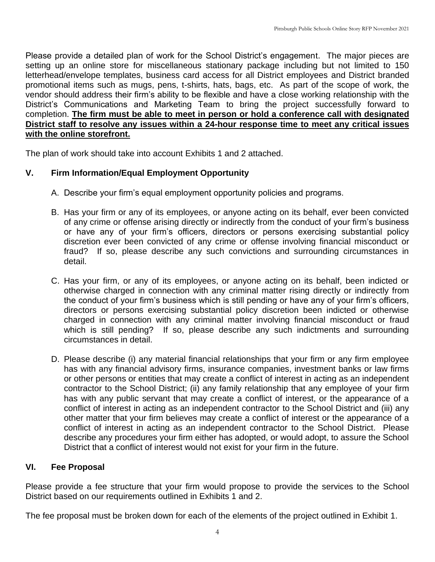Please provide a detailed plan of work for the School District's engagement. The major pieces are setting up an online store for miscellaneous stationary package including but not limited to 150 letterhead/envelope templates, business card access for all District employees and District branded promotional items such as mugs, pens, t-shirts, hats, bags, etc. As part of the scope of work, the vendor should address their firm's ability to be flexible and have a close working relationship with the District's Communications and Marketing Team to bring the project successfully forward to completion. **The firm must be able to meet in person or hold a conference call with designated District staff to resolve any issues within a 24-hour response time to meet any critical issues with the online storefront.** 

The plan of work should take into account Exhibits 1 and 2 attached.

# **V. Firm Information/Equal Employment Opportunity**

- A. Describe your firm's equal employment opportunity policies and programs.
- B. Has your firm or any of its employees, or anyone acting on its behalf, ever been convicted of any crime or offense arising directly or indirectly from the conduct of your firm's business or have any of your firm's officers, directors or persons exercising substantial policy discretion ever been convicted of any crime or offense involving financial misconduct or fraud? If so, please describe any such convictions and surrounding circumstances in detail.
- C. Has your firm, or any of its employees, or anyone acting on its behalf, been indicted or otherwise charged in connection with any criminal matter rising directly or indirectly from the conduct of your firm's business which is still pending or have any of your firm's officers, directors or persons exercising substantial policy discretion been indicted or otherwise charged in connection with any criminal matter involving financial misconduct or fraud which is still pending? If so, please describe any such indictments and surrounding circumstances in detail.
- D. Please describe (i) any material financial relationships that your firm or any firm employee has with any financial advisory firms, insurance companies, investment banks or law firms or other persons or entities that may create a conflict of interest in acting as an independent contractor to the School District; (ii) any family relationship that any employee of your firm has with any public servant that may create a conflict of interest, or the appearance of a conflict of interest in acting as an independent contractor to the School District and (iii) any other matter that your firm believes may create a conflict of interest or the appearance of a conflict of interest in acting as an independent contractor to the School District. Please describe any procedures your firm either has adopted, or would adopt, to assure the School District that a conflict of interest would not exist for your firm in the future.

#### **VI. Fee Proposal**

Please provide a fee structure that your firm would propose to provide the services to the School District based on our requirements outlined in Exhibits 1 and 2.

The fee proposal must be broken down for each of the elements of the project outlined in Exhibit 1.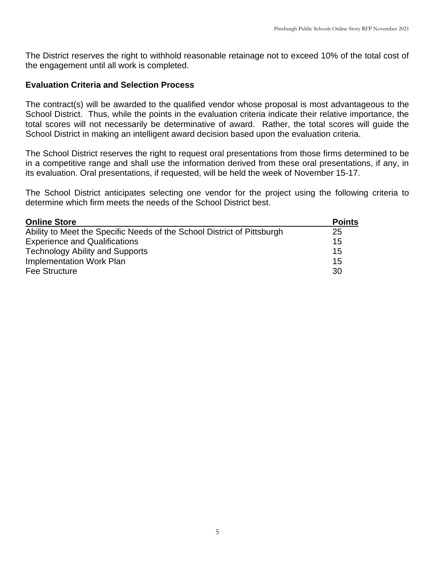The District reserves the right to withhold reasonable retainage not to exceed 10% of the total cost of the engagement until all work is completed.

#### **Evaluation Criteria and Selection Process**

The contract(s) will be awarded to the qualified vendor whose proposal is most advantageous to the School District. Thus, while the points in the evaluation criteria indicate their relative importance, the total scores will not necessarily be determinative of award. Rather, the total scores will guide the School District in making an intelligent award decision based upon the evaluation criteria.

The School District reserves the right to request oral presentations from those firms determined to be in a competitive range and shall use the information derived from these oral presentations, if any, in its evaluation. Oral presentations, if requested, will be held the week of November 15-17.

The School District anticipates selecting one vendor for the project using the following criteria to determine which firm meets the needs of the School District best.

| <b>Online Store</b>                                                     | <b>Points</b> |
|-------------------------------------------------------------------------|---------------|
| Ability to Meet the Specific Needs of the School District of Pittsburgh | 25            |
| <b>Experience and Qualifications</b>                                    | 15            |
| <b>Technology Ability and Supports</b>                                  | 15            |
| Implementation Work Plan                                                | 15            |
| Fee Structure                                                           | 30            |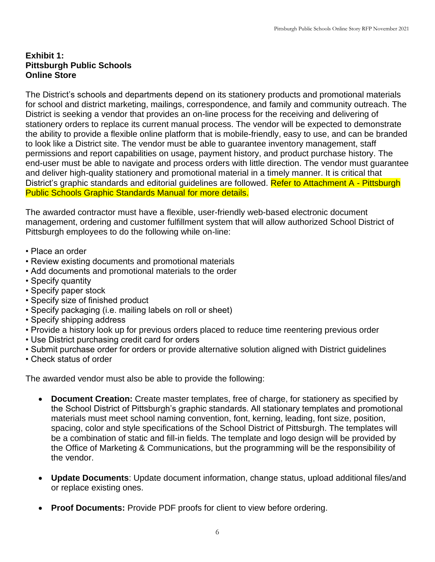#### **Exhibit 1: Pittsburgh Public Schools Online Store**

The District's schools and departments depend on its stationery products and promotional materials for school and district marketing, mailings, correspondence, and family and community outreach. The District is seeking a vendor that provides an on-line process for the receiving and delivering of stationery orders to replace its current manual process. The vendor will be expected to demonstrate the ability to provide a flexible online platform that is mobile-friendly, easy to use, and can be branded to look like a District site. The vendor must be able to guarantee inventory management, staff permissions and report capabilities on usage, payment history, and product purchase history. The end-user must be able to navigate and process orders with little direction. The vendor must guarantee and deliver high-quality stationery and promotional material in a timely manner. It is critical that District's graphic standards and editorial guidelines are followed. Refer to Attachment A - Pittsburgh Public Schools Graphic Standards Manual for more details.

The awarded contractor must have a flexible, user-friendly web-based electronic document management, ordering and customer fulfillment system that will allow authorized School District of Pittsburgh employees to do the following while on-line:

- Place an order
- Review existing documents and promotional materials
- Add documents and promotional materials to the order
- Specify quantity
- Specify paper stock
- Specify size of finished product
- Specify packaging (i.e. mailing labels on roll or sheet)
- Specify shipping address
- Provide a history look up for previous orders placed to reduce time reentering previous order
- Use District purchasing credit card for orders
- Submit purchase order for orders or provide alternative solution aligned with District guidelines
- Check status of order

The awarded vendor must also be able to provide the following:

- **Document Creation:** Create master templates, free of charge, for stationery as specified by the School District of Pittsburgh's graphic standards. All stationary templates and promotional materials must meet school naming convention, font, kerning, leading, font size, position, spacing, color and style specifications of the School District of Pittsburgh. The templates will be a combination of static and fill-in fields. The template and logo design will be provided by the Office of Marketing & Communications, but the programming will be the responsibility of the vendor.
- **Update Documents**: Update document information, change status, upload additional files/and or replace existing ones.
- **Proof Documents:** Provide PDF proofs for client to view before ordering.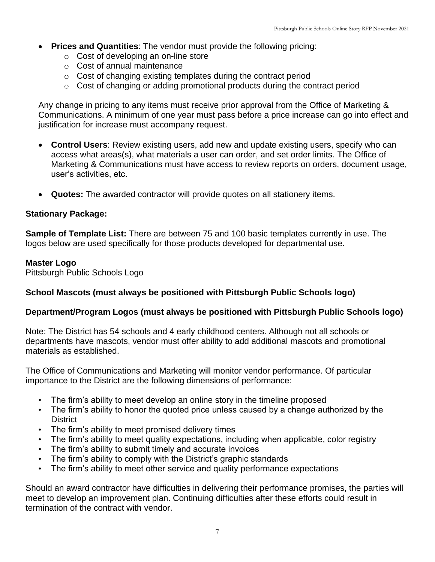- **Prices and Quantities**: The vendor must provide the following pricing:
	- o Cost of developing an on-line store
	- o Cost of annual maintenance
	- o Cost of changing existing templates during the contract period
	- o Cost of changing or adding promotional products during the contract period

Any change in pricing to any items must receive prior approval from the Office of Marketing & Communications. A minimum of one year must pass before a price increase can go into effect and justification for increase must accompany request.

- **Control Users**: Review existing users, add new and update existing users, specify who can access what areas(s), what materials a user can order, and set order limits. The Office of Marketing & Communications must have access to review reports on orders, document usage, user's activities, etc.
- **Quotes:** The awarded contractor will provide quotes on all stationery items.

#### **Stationary Package:**

**Sample of Template List:** There are between 75 and 100 basic templates currently in use. The logos below are used specifically for those products developed for departmental use.

#### **Master Logo**

Pittsburgh Public Schools Logo

#### **School Mascots (must always be positioned with Pittsburgh Public Schools logo)**

#### **Department/Program Logos (must always be positioned with Pittsburgh Public Schools logo)**

Note: The District has 54 schools and 4 early childhood centers. Although not all schools or departments have mascots, vendor must offer ability to add additional mascots and promotional materials as established.

The Office of Communications and Marketing will monitor vendor performance. Of particular importance to the District are the following dimensions of performance:

- The firm's ability to meet develop an online story in the timeline proposed
- The firm's ability to honor the quoted price unless caused by a change authorized by the **District**
- The firm's ability to meet promised delivery times
- The firm's ability to meet quality expectations, including when applicable, color registry
- The firm's ability to submit timely and accurate invoices
- The firm's ability to comply with the District's graphic standards
- The firm's ability to meet other service and quality performance expectations

Should an award contractor have difficulties in delivering their performance promises, the parties will meet to develop an improvement plan. Continuing difficulties after these efforts could result in termination of the contract with vendor.